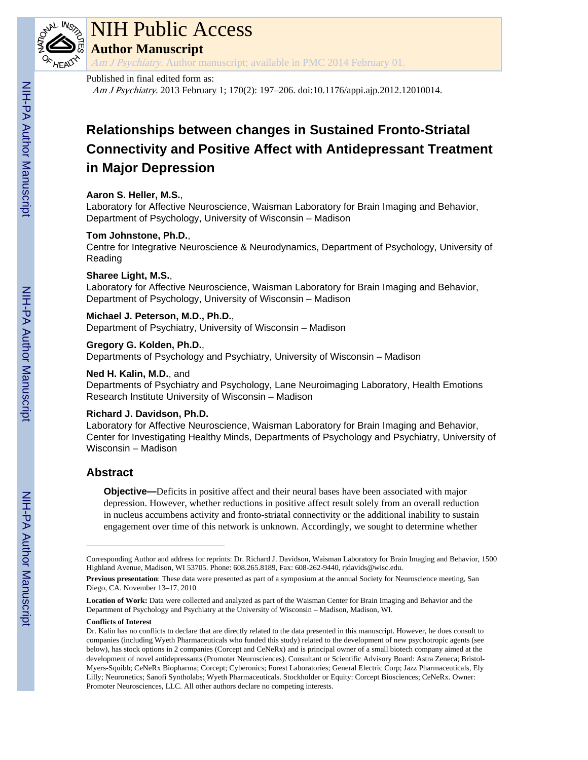

# NIH Public Access

**Author Manuscript**

Am J Psychiatry. Author manuscript; available in PMC 2014 February 01.

#### Published in final edited form as:

Am J Psychiatry. 2013 February 1; 170(2): 197–206. doi:10.1176/appi.ajp.2012.12010014.

# **Relationships between changes in Sustained Fronto-Striatal Connectivity and Positive Affect with Antidepressant Treatment in Major Depression**

# **Aaron S. Heller, M.S.**,

Laboratory for Affective Neuroscience, Waisman Laboratory for Brain Imaging and Behavior, Department of Psychology, University of Wisconsin – Madison

# **Tom Johnstone, Ph.D.**,

Centre for Integrative Neuroscience & Neurodynamics, Department of Psychology, University of Reading

# **Sharee Light, M.S.**,

Laboratory for Affective Neuroscience, Waisman Laboratory for Brain Imaging and Behavior, Department of Psychology, University of Wisconsin – Madison

# **Michael J. Peterson, M.D., Ph.D.**,

Department of Psychiatry, University of Wisconsin – Madison

# **Gregory G. Kolden, Ph.D.**,

Departments of Psychology and Psychiatry, University of Wisconsin – Madison

# **Ned H. Kalin, M.D.**, and

Departments of Psychiatry and Psychology, Lane Neuroimaging Laboratory, Health Emotions Research Institute University of Wisconsin – Madison

## **Richard J. Davidson, Ph.D.**

Laboratory for Affective Neuroscience, Waisman Laboratory for Brain Imaging and Behavior, Center for Investigating Healthy Minds, Departments of Psychology and Psychiatry, University of Wisconsin – Madison

# **Abstract**

**Objective—**Deficits in positive affect and their neural bases have been associated with major depression. However, whether reductions in positive affect result solely from an overall reduction in nucleus accumbens activity and fronto-striatal connectivity or the additional inability to sustain engagement over time of this network is unknown. Accordingly, we sought to determine whether

#### **Conflicts of Interest**

Corresponding Author and address for reprints: Dr. Richard J. Davidson, Waisman Laboratory for Brain Imaging and Behavior, 1500 Highland Avenue, Madison, WI 53705. Phone: 608.265.8189, Fax: 608-262-9440, rjdavids@wisc.edu.

**Previous presentation**: These data were presented as part of a symposium at the annual Society for Neuroscience meeting, San Diego, CA. November 13–17, 2010

**Location of Work:** Data were collected and analyzed as part of the Waisman Center for Brain Imaging and Behavior and the Department of Psychology and Psychiatry at the University of Wisconsin – Madison, Madison, WI.

Dr. Kalin has no conflicts to declare that are directly related to the data presented in this manuscript. However, he does consult to companies (including Wyeth Pharmaceuticals who funded this study) related to the development of new psychotropic agents (see below), has stock options in 2 companies (Corcept and CeNeRx) and is principal owner of a small biotech company aimed at the development of novel antidepressants (Promoter Neurosciences). Consultant or Scientific Advisory Board: Astra Zeneca; Bristol-Myers-Squibb; CeNeRx Biopharma; Corcept; Cyberonics; Forest Laboratories; General Electric Corp; Jazz Pharmaceuticals, Ely Lilly; Neuronetics; Sanofi Syntholabs; Wyeth Pharmaceuticals. Stockholder or Equity: Corcept Biosciences; CeNeRx. Owner: Promoter Neurosciences, LLC. All other authors declare no competing interests.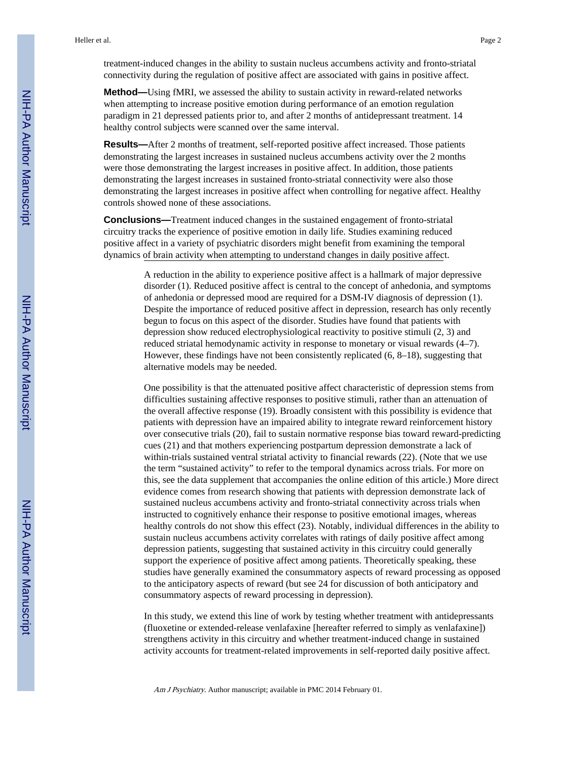treatment-induced changes in the ability to sustain nucleus accumbens activity and fronto-striatal connectivity during the regulation of positive affect are associated with gains in positive affect.

**Method—**Using fMRI, we assessed the ability to sustain activity in reward-related networks when attempting to increase positive emotion during performance of an emotion regulation paradigm in 21 depressed patients prior to, and after 2 months of antidepressant treatment. 14 healthy control subjects were scanned over the same interval.

**Results—**After 2 months of treatment, self-reported positive affect increased. Those patients demonstrating the largest increases in sustained nucleus accumbens activity over the 2 months were those demonstrating the largest increases in positive affect. In addition, those patients demonstrating the largest increases in sustained fronto-striatal connectivity were also those demonstrating the largest increases in positive affect when controlling for negative affect. Healthy controls showed none of these associations.

**Conclusions—**Treatment induced changes in the sustained engagement of fronto-striatal circuitry tracks the experience of positive emotion in daily life. Studies examining reduced positive affect in a variety of psychiatric disorders might benefit from examining the temporal dynamics of brain activity when attempting to understand changes in daily positive affect.

> A reduction in the ability to experience positive affect is a hallmark of major depressive disorder (1). Reduced positive affect is central to the concept of anhedonia, and symptoms of anhedonia or depressed mood are required for a DSM-IV diagnosis of depression (1). Despite the importance of reduced positive affect in depression, research has only recently begun to focus on this aspect of the disorder. Studies have found that patients with depression show reduced electrophysiological reactivity to positive stimuli (2, 3) and reduced striatal hemodynamic activity in response to monetary or visual rewards (4–7). However, these findings have not been consistently replicated  $(6, 8-18)$ , suggesting that alternative models may be needed.

One possibility is that the attenuated positive affect characteristic of depression stems from difficulties sustaining affective responses to positive stimuli, rather than an attenuation of the overall affective response (19). Broadly consistent with this possibility is evidence that patients with depression have an impaired ability to integrate reward reinforcement history over consecutive trials (20), fail to sustain normative response bias toward reward-predicting cues (21) and that mothers experiencing postpartum depression demonstrate a lack of within-trials sustained ventral striatal activity to financial rewards (22). (Note that we use the term "sustained activity" to refer to the temporal dynamics across trials. For more on this, see the data supplement that accompanies the online edition of this article.) More direct evidence comes from research showing that patients with depression demonstrate lack of sustained nucleus accumbens activity and fronto-striatal connectivity across trials when instructed to cognitively enhance their response to positive emotional images, whereas healthy controls do not show this effect (23). Notably, individual differences in the ability to sustain nucleus accumbens activity correlates with ratings of daily positive affect among depression patients, suggesting that sustained activity in this circuitry could generally support the experience of positive affect among patients. Theoretically speaking, these studies have generally examined the consummatory aspects of reward processing as opposed to the anticipatory aspects of reward (but see 24 for discussion of both anticipatory and consummatory aspects of reward processing in depression).

In this study, we extend this line of work by testing whether treatment with antidepressants (fluoxetine or extended-release venlafaxine [hereafter referred to simply as venlafaxine]) strengthens activity in this circuitry and whether treatment-induced change in sustained activity accounts for treatment-related improvements in self-reported daily positive affect.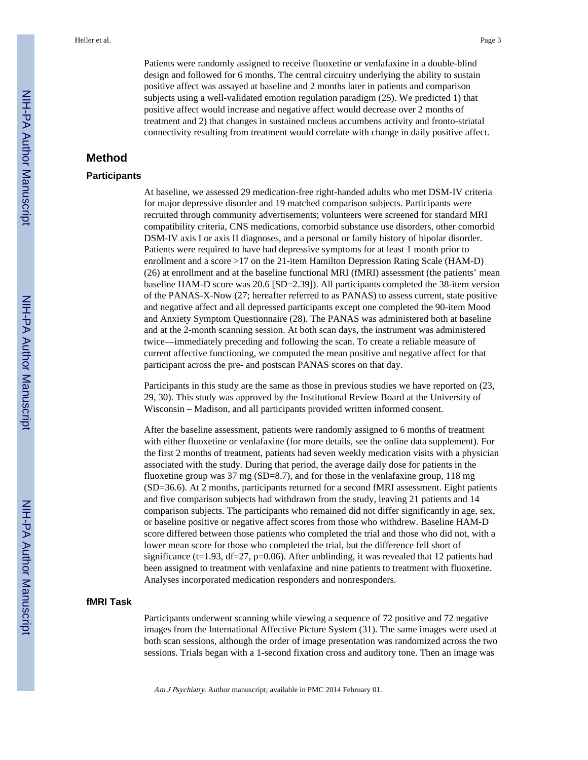Patients were randomly assigned to receive fluoxetine or venlafaxine in a double-blind design and followed for 6 months. The central circuitry underlying the ability to sustain positive affect was assayed at baseline and 2 months later in patients and comparison subjects using a well-validated emotion regulation paradigm (25). We predicted 1) that positive affect would increase and negative affect would decrease over 2 months of treatment and 2) that changes in sustained nucleus accumbens activity and fronto-striatal connectivity resulting from treatment would correlate with change in daily positive affect.

# **Method**

#### **Participants**

At baseline, we assessed 29 medication-free right-handed adults who met DSM-IV criteria for major depressive disorder and 19 matched comparison subjects. Participants were recruited through community advertisements; volunteers were screened for standard MRI compatibility criteria, CNS medications, comorbid substance use disorders, other comorbid DSM-IV axis I or axis II diagnoses, and a personal or family history of bipolar disorder. Patients were required to have had depressive symptoms for at least 1 month prior to enrollment and a score >17 on the 21-item Hamilton Depression Rating Scale (HAM-D) (26) at enrollment and at the baseline functional MRI (fMRI) assessment (the patients' mean baseline HAM-D score was 20.6 [SD=2.39]). All participants completed the 38-item version of the PANAS-X-Now (27; hereafter referred to as PANAS) to assess current, state positive and negative affect and all depressed participants except one completed the 90-item Mood and Anxiety Symptom Questionnaire (28). The PANAS was administered both at baseline and at the 2-month scanning session. At both scan days, the instrument was administered twice—immediately preceding and following the scan. To create a reliable measure of current affective functioning, we computed the mean positive and negative affect for that participant across the pre- and postscan PANAS scores on that day.

Participants in this study are the same as those in previous studies we have reported on (23, 29, 30). This study was approved by the Institutional Review Board at the University of Wisconsin – Madison, and all participants provided written informed consent.

After the baseline assessment, patients were randomly assigned to 6 months of treatment with either fluoxetine or venlafaxine (for more details, see the online data supplement). For the first 2 months of treatment, patients had seven weekly medication visits with a physician associated with the study. During that period, the average daily dose for patients in the fluoxetine group was 37 mg (SD=8.7), and for those in the venlafaxine group, 118 mg (SD=36.6). At 2 months, participants returned for a second fMRI assessment. Eight patients and five comparison subjects had withdrawn from the study, leaving 21 patients and 14 comparison subjects. The participants who remained did not differ significantly in age, sex, or baseline positive or negative affect scores from those who withdrew. Baseline HAM-D score differed between those patients who completed the trial and those who did not, with a lower mean score for those who completed the trial, but the difference fell short of significance (t=1.93, df=27, p=0.06). After unblinding, it was revealed that 12 patients had been assigned to treatment with venlafaxine and nine patients to treatment with fluoxetine. Analyses incorporated medication responders and nonresponders.

#### **fMRI Task**

Participants underwent scanning while viewing a sequence of 72 positive and 72 negative images from the International Affective Picture System (31). The same images were used at both scan sessions, although the order of image presentation was randomized across the two sessions. Trials began with a 1-second fixation cross and auditory tone. Then an image was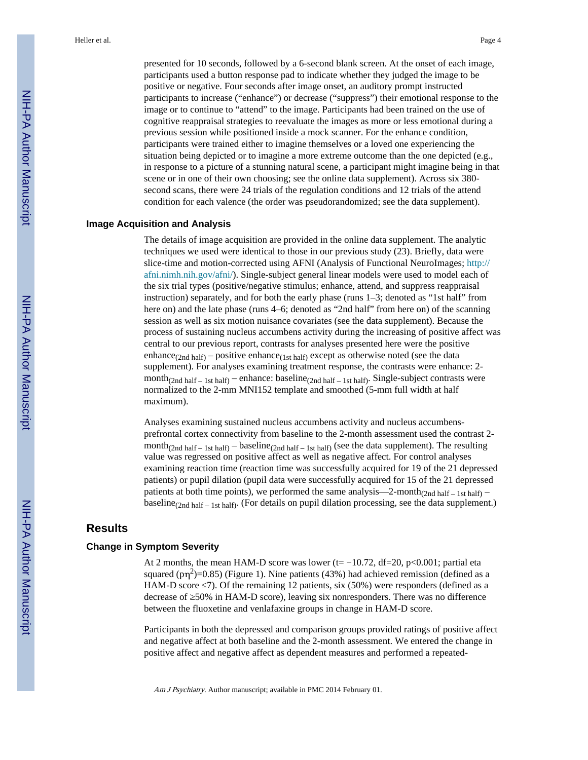presented for 10 seconds, followed by a 6-second blank screen. At the onset of each image, participants used a button response pad to indicate whether they judged the image to be positive or negative. Four seconds after image onset, an auditory prompt instructed participants to increase ("enhance") or decrease ("suppress") their emotional response to the image or to continue to "attend" to the image. Participants had been trained on the use of cognitive reappraisal strategies to reevaluate the images as more or less emotional during a previous session while positioned inside a mock scanner. For the enhance condition, participants were trained either to imagine themselves or a loved one experiencing the situation being depicted or to imagine a more extreme outcome than the one depicted (e.g., in response to a picture of a stunning natural scene, a participant might imagine being in that scene or in one of their own choosing; see the online data supplement). Across six 380 second scans, there were 24 trials of the regulation conditions and 12 trials of the attend condition for each valence (the order was pseudorandomized; see the data supplement).

#### **Image Acquisition and Analysis**

The details of image acquisition are provided in the online data supplement. The analytic techniques we used were identical to those in our previous study (23). Briefly, data were slice-time and motion-corrected using AFNI (Analysis of Functional NeuroImages; [http://](http://afni.nimh.nih.gov/afni/) [afni.nimh.nih.gov/afni/](http://afni.nimh.nih.gov/afni/)). Single-subject general linear models were used to model each of the six trial types (positive/negative stimulus; enhance, attend, and suppress reappraisal instruction) separately, and for both the early phase (runs 1–3; denoted as "1st half" from here on) and the late phase (runs 4–6; denoted as "2nd half" from here on) of the scanning session as well as six motion nuisance covariates (see the data supplement). Because the process of sustaining nucleus accumbens activity during the increasing of positive affect was central to our previous report, contrasts for analyses presented here were the positive enhance<sub>(2nd half)</sub> – positive enhance<sub>(1st half)</sub> except as otherwise noted (see the data supplement). For analyses examining treatment response, the contrasts were enhance: 2 month<sub>(2nd half – 1st half)</sub> – enhance: baseline<sub>(2nd half – 1st half)</sub>. Single-subject contrasts were normalized to the 2-mm MNI152 template and smoothed (5-mm full width at half maximum).

Analyses examining sustained nucleus accumbens activity and nucleus accumbensprefrontal cortex connectivity from baseline to the 2-month assessment used the contrast 2 month<sub>(2nd half – 1st half)</sub> – baseline<sub>(2nd half – 1st half)</sub> (see the data supplement). The resulting value was regressed on positive affect as well as negative affect. For control analyses examining reaction time (reaction time was successfully acquired for 19 of the 21 depressed patients) or pupil dilation (pupil data were successfully acquired for 15 of the 21 depressed patients at both time points), we performed the same analysis—2-month<sub>(2nd half –</sub> 1st half) – baseline<sub>(2nd half – 1st half)</sub>. (For details on pupil dilation processing, see the data supplement.)

## **Results**

#### **Change in Symptom Severity**

At 2 months, the mean HAM-D score was lower (t=  $-10.72$ , df=20, p<0.001; partial eta squared ( $pp^2$ )=0.85) (Figure 1). Nine patients (43%) had achieved remission (defined as a HAM-D score 7). Of the remaining 12 patients, six (50%) were responders (defined as a decrease of 50% in HAM-D score), leaving six nonresponders. There was no difference between the fluoxetine and venlafaxine groups in change in HAM-D score.

Participants in both the depressed and comparison groups provided ratings of positive affect and negative affect at both baseline and the 2-month assessment. We entered the change in positive affect and negative affect as dependent measures and performed a repeated-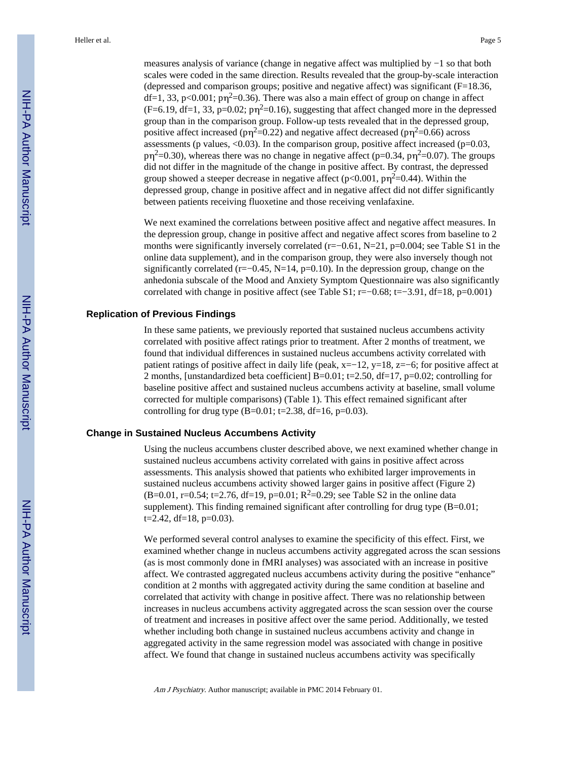measures analysis of variance (change in negative affect was multiplied by −1 so that both scales were coded in the same direction. Results revealed that the group-by-scale interaction (depressed and comparison groups; positive and negative affect) was significant  $(F=18.36,$ df=1, 33, p<0.001; p $\eta^2$ =0.36). There was also a main effect of group on change in affect  $(F=6.19, df=1, 33, p=0.02; pp<sup>2</sup>=0.16)$ , suggesting that affect changed more in the depressed group than in the comparison group. Follow-up tests revealed that in the depressed group, positive affect increased ( $p\eta^2$ =0.22) and negative affect decreased ( $p\eta^2$ =0.66) across assessments (p values,  $\langle 0.03 \rangle$ ). In the comparison group, positive affect increased (p=0.03,  $pp^2$ =0.30), whereas there was no change in negative affect (p=0.34,  $pp^2$ =0.07). The groups did not differ in the magnitude of the change in positive affect. By contrast, the depressed group showed a steeper decrease in negative affect ( $p<0.001$ ,  $p\eta^2=0.44$ ). Within the depressed group, change in positive affect and in negative affect did not differ significantly between patients receiving fluoxetine and those receiving venlafaxine.

We next examined the correlations between positive affect and negative affect measures. In the depression group, change in positive affect and negative affect scores from baseline to 2 months were significantly inversely correlated (r=−0.61, N=21, p=0.004; see Table S1 in the online data supplement), and in the comparison group, they were also inversely though not significantly correlated (r=−0.45, N=14, p=0.10). In the depression group, change on the anhedonia subscale of the Mood and Anxiety Symptom Questionnaire was also significantly correlated with change in positive affect (see Table S1; r=−0.68; t=−3.91, df=18, p=0.001)

#### **Replication of Previous Findings**

In these same patients, we previously reported that sustained nucleus accumbens activity correlated with positive affect ratings prior to treatment. After 2 months of treatment, we found that individual differences in sustained nucleus accumbens activity correlated with patient ratings of positive affect in daily life (peak, x=−12, y=18, z=−6; for positive affect at 2 months, [unstandardized beta coefficient]  $B=0.01$ ; t=2.50, df=17, p=0.02; controlling for baseline positive affect and sustained nucleus accumbens activity at baseline, small volume corrected for multiple comparisons) (Table 1). This effect remained significant after controlling for drug type  $(B=0.01; t=2.38, df=16, p=0.03)$ .

#### **Change in Sustained Nucleus Accumbens Activity**

Using the nucleus accumbens cluster described above, we next examined whether change in sustained nucleus accumbens activity correlated with gains in positive affect across assessments. This analysis showed that patients who exhibited larger improvements in sustained nucleus accumbens activity showed larger gains in positive affect (Figure 2)  $(B=0.01, r=0.54; t=2.76, df=19, p=0.01; R<sup>2</sup>=0.29; see Table S2 in the online data$ supplement). This finding remained significant after controlling for drug type (B=0.01;  $t=2.42$ , df=18, p=0.03).

We performed several control analyses to examine the specificity of this effect. First, we examined whether change in nucleus accumbens activity aggregated across the scan sessions (as is most commonly done in fMRI analyses) was associated with an increase in positive affect. We contrasted aggregated nucleus accumbens activity during the positive "enhance" condition at 2 months with aggregated activity during the same condition at baseline and correlated that activity with change in positive affect. There was no relationship between increases in nucleus accumbens activity aggregated across the scan session over the course of treatment and increases in positive affect over the same period. Additionally, we tested whether including both change in sustained nucleus accumbens activity and change in aggregated activity in the same regression model was associated with change in positive affect. We found that change in sustained nucleus accumbens activity was specifically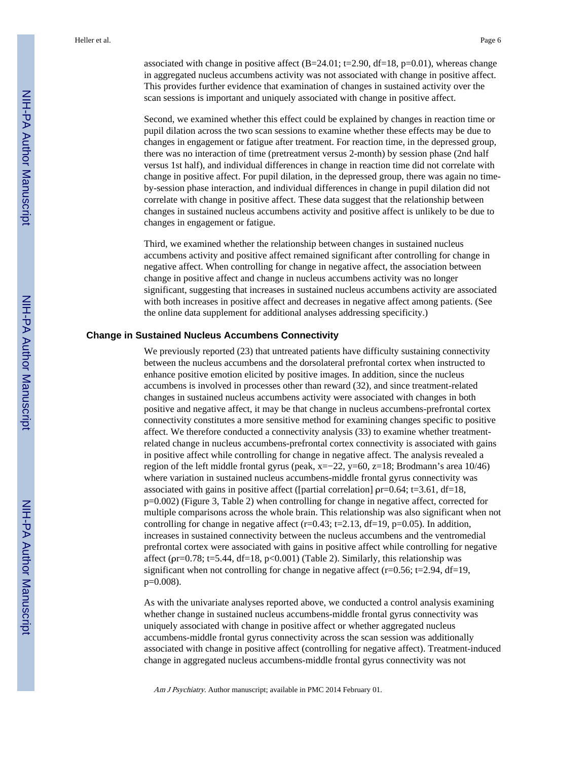associated with change in positive affect (B=24.01; t=2.90, df=18, p=0.01), whereas change in aggregated nucleus accumbens activity was not associated with change in positive affect. This provides further evidence that examination of changes in sustained activity over the scan sessions is important and uniquely associated with change in positive affect.

Second, we examined whether this effect could be explained by changes in reaction time or pupil dilation across the two scan sessions to examine whether these effects may be due to changes in engagement or fatigue after treatment. For reaction time, in the depressed group, there was no interaction of time (pretreatment versus 2-month) by session phase (2nd half versus 1st half), and individual differences in change in reaction time did not correlate with change in positive affect. For pupil dilation, in the depressed group, there was again no timeby-session phase interaction, and individual differences in change in pupil dilation did not correlate with change in positive affect. These data suggest that the relationship between changes in sustained nucleus accumbens activity and positive affect is unlikely to be due to changes in engagement or fatigue.

Third, we examined whether the relationship between changes in sustained nucleus accumbens activity and positive affect remained significant after controlling for change in negative affect. When controlling for change in negative affect, the association between change in positive affect and change in nucleus accumbens activity was no longer significant, suggesting that increases in sustained nucleus accumbens activity are associated with both increases in positive affect and decreases in negative affect among patients. (See the online data supplement for additional analyses addressing specificity.)

#### **Change in Sustained Nucleus Accumbens Connectivity**

We previously reported  $(23)$  that untreated patients have difficulty sustaining connectivity between the nucleus accumbens and the dorsolateral prefrontal cortex when instructed to enhance positive emotion elicited by positive images. In addition, since the nucleus accumbens is involved in processes other than reward (32), and since treatment-related changes in sustained nucleus accumbens activity were associated with changes in both positive and negative affect, it may be that change in nucleus accumbens-prefrontal cortex connectivity constitutes a more sensitive method for examining changes specific to positive affect. We therefore conducted a connectivity analysis (33) to examine whether treatmentrelated change in nucleus accumbens-prefrontal cortex connectivity is associated with gains in positive affect while controlling for change in negative affect. The analysis revealed a region of the left middle frontal gyrus (peak, x=−22, y=60, z=18; Brodmann's area 10/46) where variation in sustained nucleus accumbens-middle frontal gyrus connectivity was associated with gains in positive affect ([partial correlation] ρr=0.64; t=3.61, df=18, p=0.002) (Figure 3, Table 2) when controlling for change in negative affect, corrected for multiple comparisons across the whole brain. This relationship was also significant when not controlling for change in negative affect (r=0.43; t=2.13, df=19, p=0.05). In addition, increases in sustained connectivity between the nucleus accumbens and the ventromedial prefrontal cortex were associated with gains in positive affect while controlling for negative affect ( $pr=0.78$ ; t=5.44, df=18,  $p<0.001$ ) (Table 2). Similarly, this relationship was significant when not controlling for change in negative affect ( $r=0.56$ ;  $t=2.94$ ,  $df=19$ , p=0.008).

As with the univariate analyses reported above, we conducted a control analysis examining whether change in sustained nucleus accumbens-middle frontal gyrus connectivity was uniquely associated with change in positive affect or whether aggregated nucleus accumbens-middle frontal gyrus connectivity across the scan session was additionally associated with change in positive affect (controlling for negative affect). Treatment-induced change in aggregated nucleus accumbens-middle frontal gyrus connectivity was not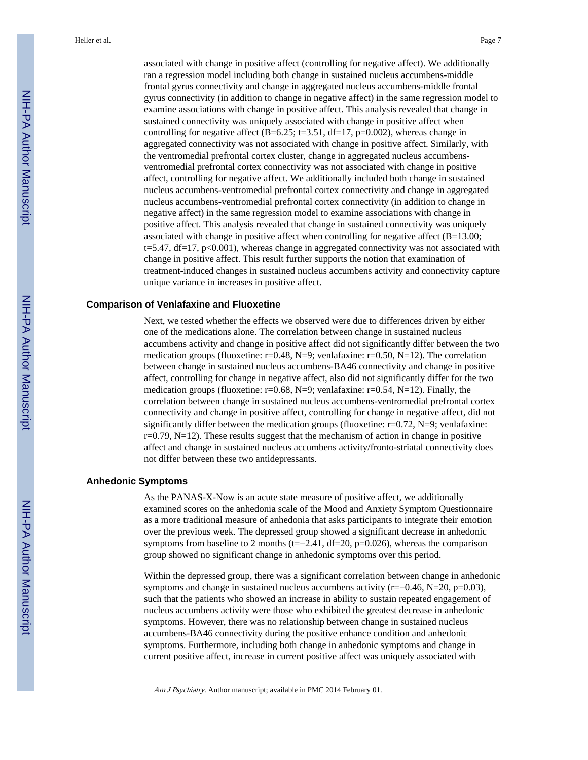associated with change in positive affect (controlling for negative affect). We additionally ran a regression model including both change in sustained nucleus accumbens-middle frontal gyrus connectivity and change in aggregated nucleus accumbens-middle frontal gyrus connectivity (in addition to change in negative affect) in the same regression model to examine associations with change in positive affect. This analysis revealed that change in sustained connectivity was uniquely associated with change in positive affect when controlling for negative affect (B=6.25; t=3.51, df=17, p=0.002), whereas change in aggregated connectivity was not associated with change in positive affect. Similarly, with the ventromedial prefrontal cortex cluster, change in aggregated nucleus accumbensventromedial prefrontal cortex connectivity was not associated with change in positive affect, controlling for negative affect. We additionally included both change in sustained nucleus accumbens-ventromedial prefrontal cortex connectivity and change in aggregated nucleus accumbens-ventromedial prefrontal cortex connectivity (in addition to change in negative affect) in the same regression model to examine associations with change in positive affect. This analysis revealed that change in sustained connectivity was uniquely associated with change in positive affect when controlling for negative affect (B=13.00;  $t=5.47$ ,  $df=17$ ,  $p<0.001$ ), whereas change in aggregated connectivity was not associated with change in positive affect. This result further supports the notion that examination of treatment-induced changes in sustained nucleus accumbens activity and connectivity capture unique variance in increases in positive affect.

#### **Comparison of Venlafaxine and Fluoxetine**

Next, we tested whether the effects we observed were due to differences driven by either one of the medications alone. The correlation between change in sustained nucleus accumbens activity and change in positive affect did not significantly differ between the two medication groups (fluoxetine:  $r=0.48$ , N=9; venlafaxine:  $r=0.50$ , N=12). The correlation between change in sustained nucleus accumbens-BA46 connectivity and change in positive affect, controlling for change in negative affect, also did not significantly differ for the two medication groups (fluoxetine:  $r=0.68$ , N=9; venlafaxine:  $r=0.54$ , N=12). Finally, the correlation between change in sustained nucleus accumbens-ventromedial prefrontal cortex connectivity and change in positive affect, controlling for change in negative affect, did not significantly differ between the medication groups (fluoxetine:  $r=0.72$ , N=9; venlafaxine:  $r=0.79$ , N=12). These results suggest that the mechanism of action in change in positive affect and change in sustained nucleus accumbens activity/fronto-striatal connectivity does not differ between these two antidepressants.

# **Anhedonic Symptoms**

As the PANAS-X-Now is an acute state measure of positive affect, we additionally examined scores on the anhedonia scale of the Mood and Anxiety Symptom Questionnaire as a more traditional measure of anhedonia that asks participants to integrate their emotion over the previous week. The depressed group showed a significant decrease in anhedonic symptoms from baseline to 2 months (t=−2.41, df=20, p=0.026), whereas the comparison group showed no significant change in anhedonic symptoms over this period.

Within the depressed group, there was a significant correlation between change in anhedonic symptoms and change in sustained nucleus accumbens activity ( $r=-0.46$ , N=20, p=0.03), such that the patients who showed an increase in ability to sustain repeated engagement of nucleus accumbens activity were those who exhibited the greatest decrease in anhedonic symptoms. However, there was no relationship between change in sustained nucleus accumbens-BA46 connectivity during the positive enhance condition and anhedonic symptoms. Furthermore, including both change in anhedonic symptoms and change in current positive affect, increase in current positive affect was uniquely associated with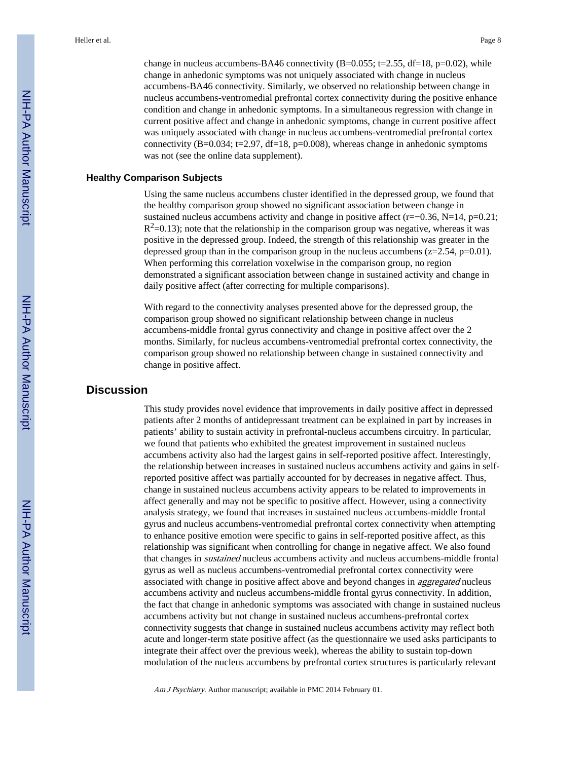change in nucleus accumbens-BA46 connectivity  $(B=0.055; t=2.55, df=18, p=0.02)$ , while change in anhedonic symptoms was not uniquely associated with change in nucleus accumbens-BA46 connectivity. Similarly, we observed no relationship between change in nucleus accumbens-ventromedial prefrontal cortex connectivity during the positive enhance condition and change in anhedonic symptoms. In a simultaneous regression with change in current positive affect and change in anhedonic symptoms, change in current positive affect was uniquely associated with change in nucleus accumbens-ventromedial prefrontal cortex connectivity (B=0.034; t=2.97, df=18, p=0.008), whereas change in anhedonic symptoms was not (see the online data supplement).

#### **Healthy Comparison Subjects**

Using the same nucleus accumbens cluster identified in the depressed group, we found that the healthy comparison group showed no significant association between change in sustained nucleus accumbens activity and change in positive affect (r=−0.36, N=14, p=0.21;  $R^2=0.13$ ; note that the relationship in the comparison group was negative, whereas it was positive in the depressed group. Indeed, the strength of this relationship was greater in the depressed group than in the comparison group in the nucleus accumbens  $(z=2.54, p=0.01)$ . When performing this correlation voxelwise in the comparison group, no region demonstrated a significant association between change in sustained activity and change in daily positive affect (after correcting for multiple comparisons).

With regard to the connectivity analyses presented above for the depressed group, the comparison group showed no significant relationship between change in nucleus accumbens-middle frontal gyrus connectivity and change in positive affect over the 2 months. Similarly, for nucleus accumbens-ventromedial prefrontal cortex connectivity, the comparison group showed no relationship between change in sustained connectivity and change in positive affect.

# **Discussion**

This study provides novel evidence that improvements in daily positive affect in depressed patients after 2 months of antidepressant treatment can be explained in part by increases in patients' ability to sustain activity in prefrontal-nucleus accumbens circuitry. In particular, we found that patients who exhibited the greatest improvement in sustained nucleus accumbens activity also had the largest gains in self-reported positive affect. Interestingly, the relationship between increases in sustained nucleus accumbens activity and gains in selfreported positive affect was partially accounted for by decreases in negative affect. Thus, change in sustained nucleus accumbens activity appears to be related to improvements in affect generally and may not be specific to positive affect. However, using a connectivity analysis strategy, we found that increases in sustained nucleus accumbens-middle frontal gyrus and nucleus accumbens-ventromedial prefrontal cortex connectivity when attempting to enhance positive emotion were specific to gains in self-reported positive affect, as this relationship was significant when controlling for change in negative affect. We also found that changes in *sustained* nucleus accumbens activity and nucleus accumbens-middle frontal gyrus as well as nucleus accumbens-ventromedial prefrontal cortex connectivity were associated with change in positive affect above and beyond changes in *aggregated* nucleus accumbens activity and nucleus accumbens-middle frontal gyrus connectivity. In addition, the fact that change in anhedonic symptoms was associated with change in sustained nucleus accumbens activity but not change in sustained nucleus accumbens-prefrontal cortex connectivity suggests that change in sustained nucleus accumbens activity may reflect both acute and longer-term state positive affect (as the questionnaire we used asks participants to integrate their affect over the previous week), whereas the ability to sustain top-down modulation of the nucleus accumbens by prefrontal cortex structures is particularly relevant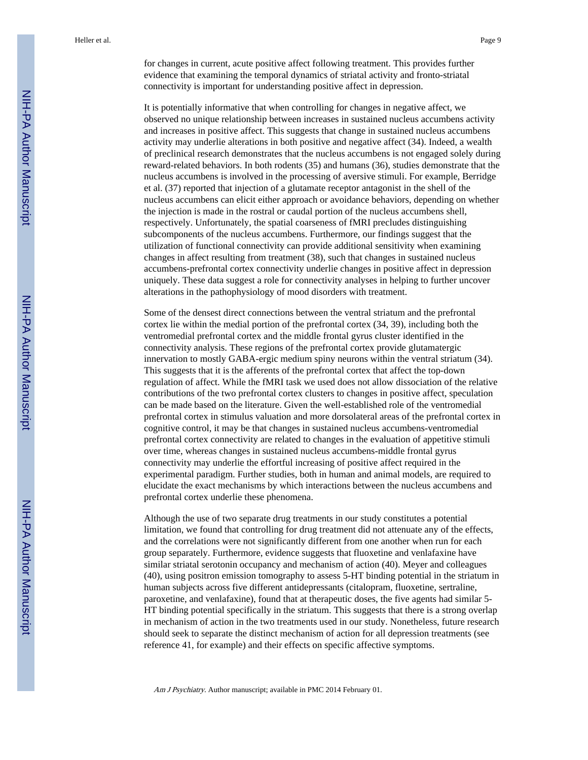It is potentially informative that when controlling for changes in negative affect, we observed no unique relationship between increases in sustained nucleus accumbens activity and increases in positive affect. This suggests that change in sustained nucleus accumbens activity may underlie alterations in both positive and negative affect (34). Indeed, a wealth of preclinical research demonstrates that the nucleus accumbens is not engaged solely during reward-related behaviors. In both rodents (35) and humans (36), studies demonstrate that the nucleus accumbens is involved in the processing of aversive stimuli. For example, Berridge et al. (37) reported that injection of a glutamate receptor antagonist in the shell of the nucleus accumbens can elicit either approach or avoidance behaviors, depending on whether the injection is made in the rostral or caudal portion of the nucleus accumbens shell, respectively. Unfortunately, the spatial coarseness of fMRI precludes distinguishing subcomponents of the nucleus accumbens. Furthermore, our findings suggest that the utilization of functional connectivity can provide additional sensitivity when examining changes in affect resulting from treatment (38), such that changes in sustained nucleus accumbens-prefrontal cortex connectivity underlie changes in positive affect in depression uniquely. These data suggest a role for connectivity analyses in helping to further uncover alterations in the pathophysiology of mood disorders with treatment.

Some of the densest direct connections between the ventral striatum and the prefrontal cortex lie within the medial portion of the prefrontal cortex (34, 39), including both the ventromedial prefrontal cortex and the middle frontal gyrus cluster identified in the connectivity analysis. These regions of the prefrontal cortex provide glutamatergic innervation to mostly GABA-ergic medium spiny neurons within the ventral striatum (34). This suggests that it is the afferents of the prefrontal cortex that affect the top-down regulation of affect. While the fMRI task we used does not allow dissociation of the relative contributions of the two prefrontal cortex clusters to changes in positive affect, speculation can be made based on the literature. Given the well-established role of the ventromedial prefrontal cortex in stimulus valuation and more dorsolateral areas of the prefrontal cortex in cognitive control, it may be that changes in sustained nucleus accumbens-ventromedial prefrontal cortex connectivity are related to changes in the evaluation of appetitive stimuli over time, whereas changes in sustained nucleus accumbens-middle frontal gyrus connectivity may underlie the effortful increasing of positive affect required in the experimental paradigm. Further studies, both in human and animal models, are required to elucidate the exact mechanisms by which interactions between the nucleus accumbens and prefrontal cortex underlie these phenomena.

Although the use of two separate drug treatments in our study constitutes a potential limitation, we found that controlling for drug treatment did not attenuate any of the effects, and the correlations were not significantly different from one another when run for each group separately. Furthermore, evidence suggests that fluoxetine and venlafaxine have similar striatal serotonin occupancy and mechanism of action (40). Meyer and colleagues (40), using positron emission tomography to assess 5-HT binding potential in the striatum in human subjects across five different antidepressants (citalopram, fluoxetine, sertraline, paroxetine, and venlafaxine), found that at therapeutic doses, the five agents had similar 5- HT binding potential specifically in the striatum. This suggests that there is a strong overlap in mechanism of action in the two treatments used in our study. Nonetheless, future research should seek to separate the distinct mechanism of action for all depression treatments (see reference 41, for example) and their effects on specific affective symptoms.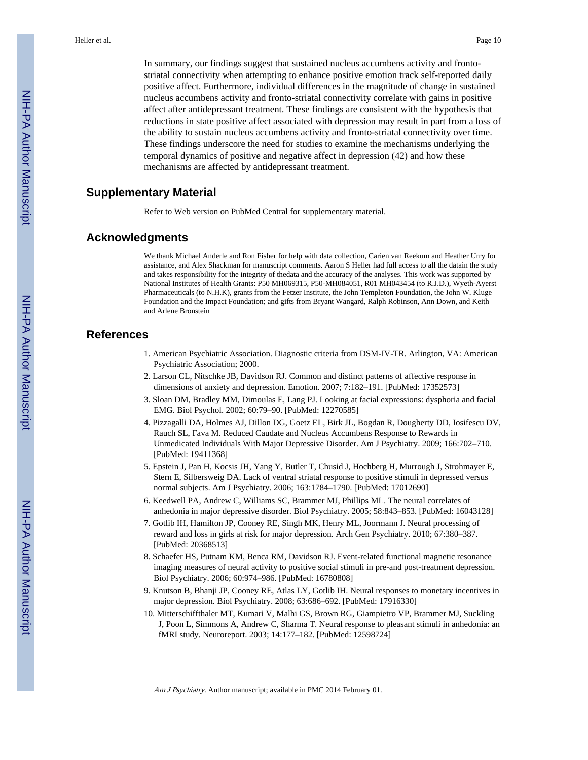In summary, our findings suggest that sustained nucleus accumbens activity and frontostriatal connectivity when attempting to enhance positive emotion track self-reported daily positive affect. Furthermore, individual differences in the magnitude of change in sustained nucleus accumbens activity and fronto-striatal connectivity correlate with gains in positive affect after antidepressant treatment. These findings are consistent with the hypothesis that reductions in state positive affect associated with depression may result in part from a loss of the ability to sustain nucleus accumbens activity and fronto-striatal connectivity over time. These findings underscore the need for studies to examine the mechanisms underlying the temporal dynamics of positive and negative affect in depression (42) and how these mechanisms are affected by antidepressant treatment.

# **Supplementary Material**

Refer to Web version on PubMed Central for supplementary material.

# **Acknowledgments**

We thank Michael Anderle and Ron Fisher for help with data collection, Carien van Reekum and Heather Urry for assistance, and Alex Shackman for manuscript comments. Aaron S Heller had full access to all the datain the study and takes responsibility for the integrity of thedata and the accuracy of the analyses. This work was supported by National Institutes of Health Grants: P50 MH069315, P50-MH084051, R01 MH043454 (to R.J.D.), Wyeth-Ayerst Pharmaceuticals (to N.H.K), grants from the Fetzer Institute, the John Templeton Foundation, the John W. Kluge Foundation and the Impact Foundation; and gifts from Bryant Wangard, Ralph Robinson, Ann Down, and Keith and Arlene Bronstein

# **References**

- 1. American Psychiatric Association. Diagnostic criteria from DSM-IV-TR. Arlington, VA: American Psychiatric Association; 2000.
- 2. Larson CL, Nitschke JB, Davidson RJ. Common and distinct patterns of affective response in dimensions of anxiety and depression. Emotion. 2007; 7:182–191. [PubMed: 17352573]
- 3. Sloan DM, Bradley MM, Dimoulas E, Lang PJ. Looking at facial expressions: dysphoria and facial EMG. Biol Psychol. 2002; 60:79–90. [PubMed: 12270585]
- 4. Pizzagalli DA, Holmes AJ, Dillon DG, Goetz EL, Birk JL, Bogdan R, Dougherty DD, Iosifescu DV, Rauch SL, Fava M. Reduced Caudate and Nucleus Accumbens Response to Rewards in Unmedicated Individuals With Major Depressive Disorder. Am J Psychiatry. 2009; 166:702–710. [PubMed: 19411368]
- 5. Epstein J, Pan H, Kocsis JH, Yang Y, Butler T, Chusid J, Hochberg H, Murrough J, Strohmayer E, Stern E, Silbersweig DA. Lack of ventral striatal response to positive stimuli in depressed versus normal subjects. Am J Psychiatry. 2006; 163:1784–1790. [PubMed: 17012690]
- 6. Keedwell PA, Andrew C, Williams SC, Brammer MJ, Phillips ML. The neural correlates of anhedonia in major depressive disorder. Biol Psychiatry. 2005; 58:843–853. [PubMed: 16043128]
- 7. Gotlib IH, Hamilton JP, Cooney RE, Singh MK, Henry ML, Joormann J. Neural processing of reward and loss in girls at risk for major depression. Arch Gen Psychiatry. 2010; 67:380–387. [PubMed: 20368513]
- 8. Schaefer HS, Putnam KM, Benca RM, Davidson RJ. Event-related functional magnetic resonance imaging measures of neural activity to positive social stimuli in pre-and post-treatment depression. Biol Psychiatry. 2006; 60:974–986. [PubMed: 16780808]
- 9. Knutson B, Bhanji JP, Cooney RE, Atlas LY, Gotlib IH. Neural responses to monetary incentives in major depression. Biol Psychiatry. 2008; 63:686–692. [PubMed: 17916330]
- 10. Mitterschiffthaler MT, Kumari V, Malhi GS, Brown RG, Giampietro VP, Brammer MJ, Suckling J, Poon L, Simmons A, Andrew C, Sharma T. Neural response to pleasant stimuli in anhedonia: an fMRI study. Neuroreport. 2003; 14:177–182. [PubMed: 12598724]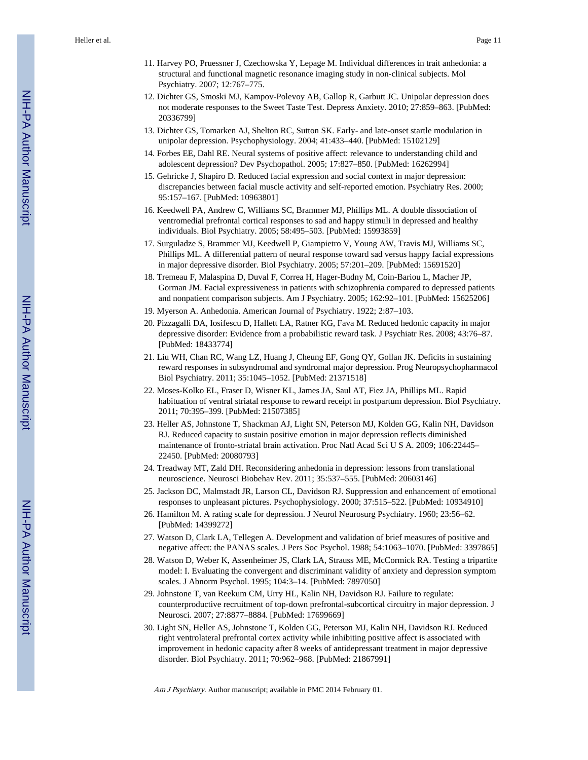- 11. Harvey PO, Pruessner J, Czechowska Y, Lepage M. Individual differences in trait anhedonia: a structural and functional magnetic resonance imaging study in non-clinical subjects. Mol Psychiatry. 2007; 12:767–775.
- 12. Dichter GS, Smoski MJ, Kampov-Polevoy AB, Gallop R, Garbutt JC. Unipolar depression does not moderate responses to the Sweet Taste Test. Depress Anxiety. 2010; 27:859–863. [PubMed: 20336799]
- 13. Dichter GS, Tomarken AJ, Shelton RC, Sutton SK. Early- and late-onset startle modulation in unipolar depression. Psychophysiology. 2004; 41:433–440. [PubMed: 15102129]
- 14. Forbes EE, Dahl RE. Neural systems of positive affect: relevance to understanding child and adolescent depression? Dev Psychopathol. 2005; 17:827–850. [PubMed: 16262994]
- 15. Gehricke J, Shapiro D. Reduced facial expression and social context in major depression: discrepancies between facial muscle activity and self-reported emotion. Psychiatry Res. 2000; 95:157–167. [PubMed: 10963801]
- 16. Keedwell PA, Andrew C, Williams SC, Brammer MJ, Phillips ML. A double dissociation of ventromedial prefrontal cortical responses to sad and happy stimuli in depressed and healthy individuals. Biol Psychiatry. 2005; 58:495–503. [PubMed: 15993859]
- 17. Surguladze S, Brammer MJ, Keedwell P, Giampietro V, Young AW, Travis MJ, Williams SC, Phillips ML. A differential pattern of neural response toward sad versus happy facial expressions in major depressive disorder. Biol Psychiatry. 2005; 57:201–209. [PubMed: 15691520]
- 18. Tremeau F, Malaspina D, Duval F, Correa H, Hager-Budny M, Coin-Bariou L, Macher JP, Gorman JM. Facial expressiveness in patients with schizophrenia compared to depressed patients and nonpatient comparison subjects. Am J Psychiatry. 2005; 162:92–101. [PubMed: 15625206]
- 19. Myerson A. Anhedonia. American Journal of Psychiatry. 1922; 2:87–103.
- 20. Pizzagalli DA, Iosifescu D, Hallett LA, Ratner KG, Fava M. Reduced hedonic capacity in major depressive disorder: Evidence from a probabilistic reward task. J Psychiatr Res. 2008; 43:76–87. [PubMed: 18433774]
- 21. Liu WH, Chan RC, Wang LZ, Huang J, Cheung EF, Gong QY, Gollan JK. Deficits in sustaining reward responses in subsyndromal and syndromal major depression. Prog Neuropsychopharmacol Biol Psychiatry. 2011; 35:1045–1052. [PubMed: 21371518]
- 22. Moses-Kolko EL, Fraser D, Wisner KL, James JA, Saul AT, Fiez JA, Phillips ML. Rapid habituation of ventral striatal response to reward receipt in postpartum depression. Biol Psychiatry. 2011; 70:395–399. [PubMed: 21507385]
- 23. Heller AS, Johnstone T, Shackman AJ, Light SN, Peterson MJ, Kolden GG, Kalin NH, Davidson RJ. Reduced capacity to sustain positive emotion in major depression reflects diminished maintenance of fronto-striatal brain activation. Proc Natl Acad Sci U S A. 2009; 106:22445– 22450. [PubMed: 20080793]
- 24. Treadway MT, Zald DH. Reconsidering anhedonia in depression: lessons from translational neuroscience. Neurosci Biobehav Rev. 2011; 35:537–555. [PubMed: 20603146]
- 25. Jackson DC, Malmstadt JR, Larson CL, Davidson RJ. Suppression and enhancement of emotional responses to unpleasant pictures. Psychophysiology. 2000; 37:515–522. [PubMed: 10934910]
- 26. Hamilton M. A rating scale for depression. J Neurol Neurosurg Psychiatry. 1960; 23:56–62. [PubMed: 14399272]
- 27. Watson D, Clark LA, Tellegen A. Development and validation of brief measures of positive and negative affect: the PANAS scales. J Pers Soc Psychol. 1988; 54:1063–1070. [PubMed: 3397865]
- 28. Watson D, Weber K, Assenheimer JS, Clark LA, Strauss ME, McCormick RA. Testing a tripartite model: I. Evaluating the convergent and discriminant validity of anxiety and depression symptom scales. J Abnorm Psychol. 1995; 104:3–14. [PubMed: 7897050]
- 29. Johnstone T, van Reekum CM, Urry HL, Kalin NH, Davidson RJ. Failure to regulate: counterproductive recruitment of top-down prefrontal-subcortical circuitry in major depression. J Neurosci. 2007; 27:8877–8884. [PubMed: 17699669]
- 30. Light SN, Heller AS, Johnstone T, Kolden GG, Peterson MJ, Kalin NH, Davidson RJ. Reduced right ventrolateral prefrontal cortex activity while inhibiting positive affect is associated with improvement in hedonic capacity after 8 weeks of antidepressant treatment in major depressive disorder. Biol Psychiatry. 2011; 70:962–968. [PubMed: 21867991]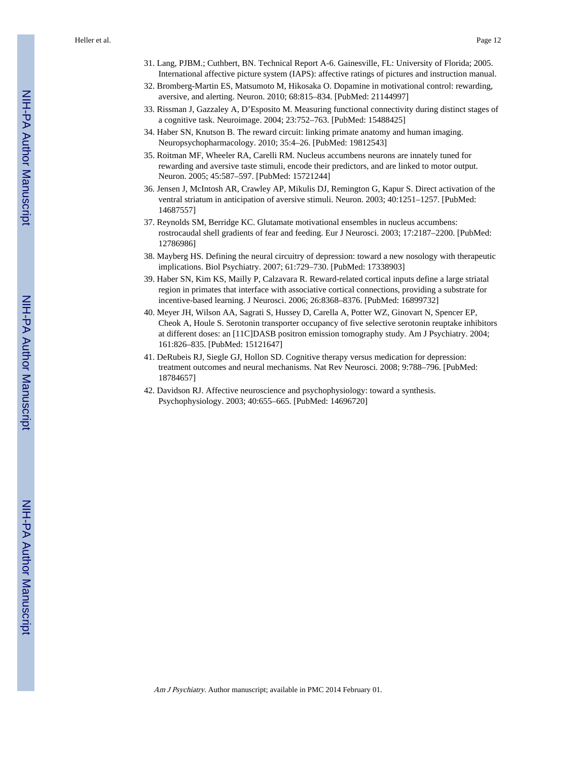- 31. Lang, PJBM.; Cuthbert, BN. Technical Report A-6. Gainesville, FL: University of Florida; 2005. International affective picture system (IAPS): affective ratings of pictures and instruction manual.
- 32. Bromberg-Martin ES, Matsumoto M, Hikosaka O. Dopamine in motivational control: rewarding, aversive, and alerting. Neuron. 2010; 68:815–834. [PubMed: 21144997]
- 33. Rissman J, Gazzaley A, D'Esposito M. Measuring functional connectivity during distinct stages of a cognitive task. Neuroimage. 2004; 23:752–763. [PubMed: 15488425]
- 34. Haber SN, Knutson B. The reward circuit: linking primate anatomy and human imaging. Neuropsychopharmacology. 2010; 35:4–26. [PubMed: 19812543]
- 35. Roitman MF, Wheeler RA, Carelli RM. Nucleus accumbens neurons are innately tuned for rewarding and aversive taste stimuli, encode their predictors, and are linked to motor output. Neuron. 2005; 45:587–597. [PubMed: 15721244]
- 36. Jensen J, McIntosh AR, Crawley AP, Mikulis DJ, Remington G, Kapur S. Direct activation of the ventral striatum in anticipation of aversive stimuli. Neuron. 2003; 40:1251–1257. [PubMed: 14687557]
- 37. Reynolds SM, Berridge KC. Glutamate motivational ensembles in nucleus accumbens: rostrocaudal shell gradients of fear and feeding. Eur J Neurosci. 2003; 17:2187–2200. [PubMed: 12786986]
- 38. Mayberg HS. Defining the neural circuitry of depression: toward a new nosology with therapeutic implications. Biol Psychiatry. 2007; 61:729–730. [PubMed: 17338903]
- 39. Haber SN, Kim KS, Mailly P, Calzavara R. Reward-related cortical inputs define a large striatal region in primates that interface with associative cortical connections, providing a substrate for incentive-based learning. J Neurosci. 2006; 26:8368–8376. [PubMed: 16899732]
- 40. Meyer JH, Wilson AA, Sagrati S, Hussey D, Carella A, Potter WZ, Ginovart N, Spencer EP, Cheok A, Houle S. Serotonin transporter occupancy of five selective serotonin reuptake inhibitors at different doses: an [11C]DASB positron emission tomography study. Am J Psychiatry. 2004; 161:826–835. [PubMed: 15121647]
- 41. DeRubeis RJ, Siegle GJ, Hollon SD. Cognitive therapy versus medication for depression: treatment outcomes and neural mechanisms. Nat Rev Neurosci. 2008; 9:788–796. [PubMed: 18784657]
- 42. Davidson RJ. Affective neuroscience and psychophysiology: toward a synthesis. Psychophysiology. 2003; 40:655–665. [PubMed: 14696720]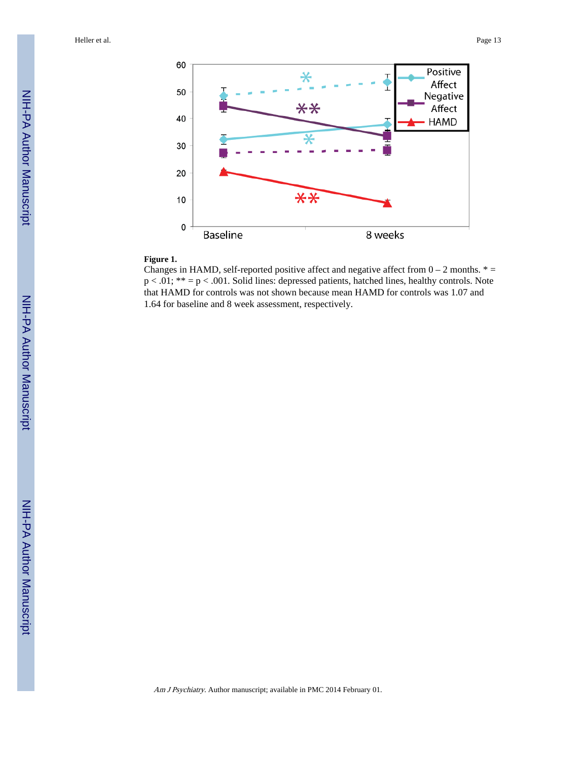

# **Figure 1.**

Changes in HAMD, self-reported positive affect and negative affect from  $0 - 2$  months.  $* =$  $p < .01$ ; \*\* =  $p < .001$ . Solid lines: depressed patients, hatched lines, healthy controls. Note that HAMD for controls was not shown because mean HAMD for controls was 1.07 and 1.64 for baseline and 8 week assessment, respectively.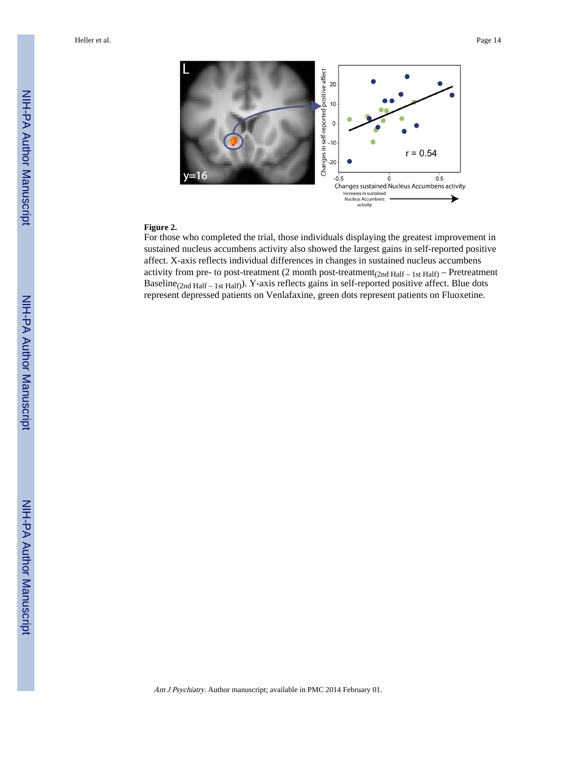

# **Figure 2.**

For those who completed the trial, those individuals displaying the greatest improvement in sustained nucleus accumbens activity also showed the largest gains in self-reported positive affect. X-axis reflects individual differences in changes in sustained nucleus accumbens activity from pre- to post-treatment (2 month post-treatment<sub>(2nd Half – 1st Half)</sub> – Pretreatment Baseline<sub>(2nd Half – 1st Half)</sub>). Y-axis reflects gains in self-reported positive affect. Blue dots represent depressed patients on Venlafaxine, green dots represent patients on Fluoxetine.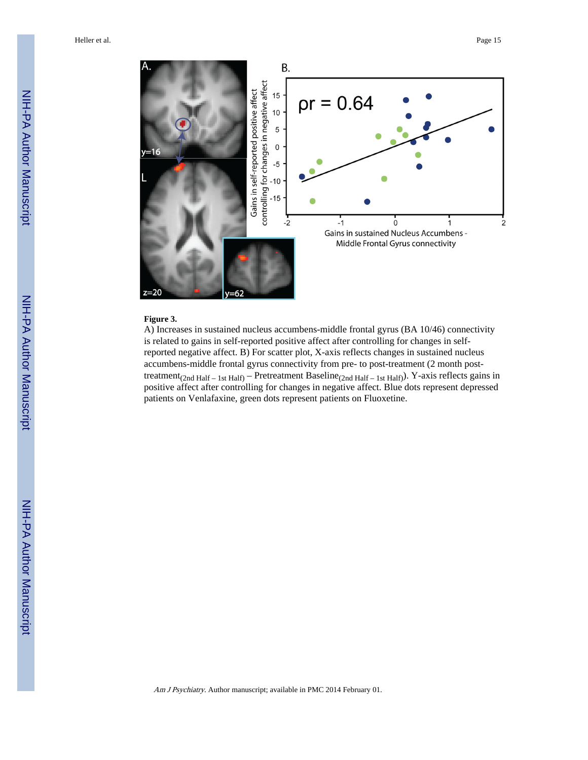

#### **Figure 3.**

A) Increases in sustained nucleus accumbens-middle frontal gyrus (BA 10/46) connectivity is related to gains in self-reported positive affect after controlling for changes in selfreported negative affect. B) For scatter plot, X-axis reflects changes in sustained nucleus accumbens-middle frontal gyrus connectivity from pre- to post-treatment (2 month posttreatment<sub>(2nd Half – 1st Half)</sub> – Pretreatment Baseline<sub>(2nd Half – 1st Half)</sub>). Y-axis reflects gains in positive affect after controlling for changes in negative affect. Blue dots represent depressed patients on Venlafaxine, green dots represent patients on Fluoxetine.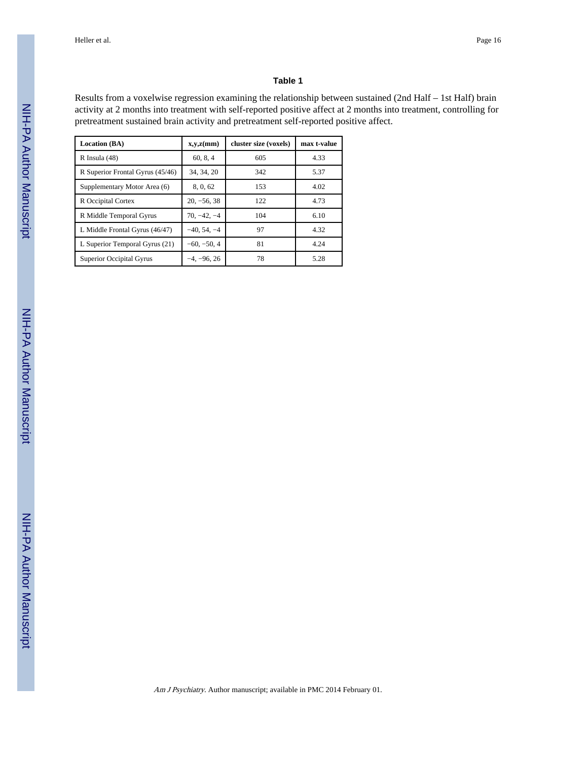#### **Table 1**

Results from a voxelwise regression examining the relationship between sustained (2nd Half – 1st Half) brain activity at 2 months into treatment with self-reported positive affect at 2 months into treatment, controlling for pretreatment sustained brain activity and pretreatment self-reported positive affect.

| <b>Location</b> (BA)             | x,y,z(nm)     | cluster size (voxels) | max t-value |
|----------------------------------|---------------|-----------------------|-------------|
| R Insula (48)                    | 60, 8, 4      | 605                   | 4.33        |
| R Superior Frontal Gyrus (45/46) | 34, 34, 20    | 342                   | 5.37        |
| Supplementary Motor Area (6)     | 8, 0, 62      | 153                   | 4.02        |
| R Occipital Cortex               | $20, -56, 38$ | 122                   | 4.73        |
| R Middle Temporal Gyrus          | $70, -42, -4$ | 104                   | 6.10        |
| L Middle Frontal Gyrus (46/47)   | $-40, 54, -4$ | 97                    | 4.32        |
| L Superior Temporal Gyrus (21)   | $-60, -50, 4$ | 81                    | 4.24        |
| <b>Superior Occipital Gyrus</b>  | $-4, -96, 26$ | 78                    | 5.28        |